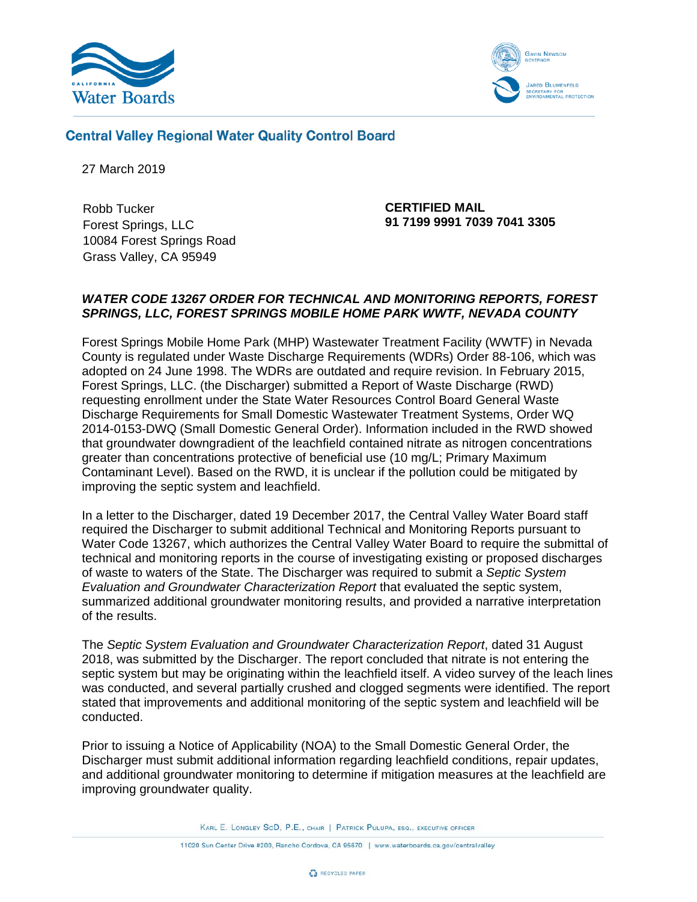



**Central Valley Regional Water Quality Control Board** 

27 March 2019

Robb Tucker Forest Springs, LLC 10084 Forest Springs Road Grass Valley, CA 95949

 **CERTIFIED MAIL 91 7199 9991 7039 7041 3305**

#### *WATER CODE 13267 ORDER FOR TECHNICAL AND MONITORING REPORTS, FOREST SPRINGS, LLC, FOREST SPRINGS MOBILE HOME PARK WWTF, NEVADA COUNTY*

Forest Springs Mobile Home Park (MHP) Wastewater Treatment Facility (WWTF) in Nevada County is regulated under Waste Discharge Requirements (WDRs) Order 88-106, which was adopted on 24 June 1998. The WDRs are outdated and require revision. In February 2015, Forest Springs, LLC. (the Discharger) submitted a Report of Waste Discharge (RWD) requesting enrollment under the State Water Resources Control Board General Waste Discharge Requirements for Small Domestic Wastewater Treatment Systems, Order WQ 2014-0153-DWQ (Small Domestic General Order). Information included in the RWD showed that groundwater downgradient of the leachfield contained nitrate as nitrogen concentrations greater than concentrations protective of beneficial use (10 mg/L; Primary Maximum Contaminant Level). Based on the RWD, it is unclear if the pollution could be mitigated by improving the septic system and leachfield.

In a letter to the Discharger, dated 19 December 2017, the Central Valley Water Board staff required the Discharger to submit additional Technical and Monitoring Reports pursuant to Water Code 13267, which authorizes the Central Valley Water Board to require the submittal of technical and monitoring reports in the course of investigating existing or proposed discharges of waste to waters of the State. The Discharger was required to submit a *Septic System Evaluation and Groundwater Characterization Report* that evaluated the septic system, summarized additional groundwater monitoring results, and provided a narrative interpretation of the results.

The *Septic System Evaluation and Groundwater Characterization Report*, dated 31 August 2018, was submitted by the Discharger. The report concluded that nitrate is not entering the septic system but may be originating within the leachfield itself. A video survey of the leach lines was conducted, and several partially crushed and clogged segments were identified. The report stated that improvements and additional monitoring of the septic system and leachfield will be conducted.

Prior to issuing a Notice of Applicability (NOA) to the Small Domestic General Order, the Discharger must submit additional information regarding leachfield conditions, repair updates, and additional groundwater monitoring to determine if mitigation measures at the leachfield are improving groundwater quality.

KARL E. LONGLEY SCD, P.E., CHAIR | PATRICK PULUPA, ESQ., EXECUTIVE OFFICER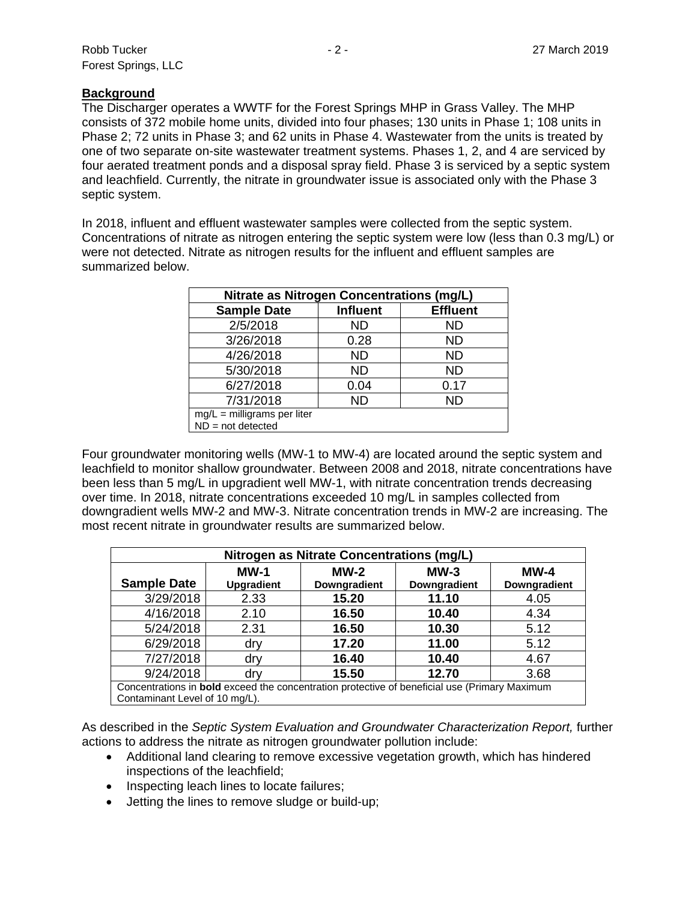## **Background**

The Discharger operates a WWTF for the Forest Springs MHP in Grass Valley. The MHP consists of 372 mobile home units, divided into four phases; 130 units in Phase 1; 108 units in Phase 2; 72 units in Phase 3; and 62 units in Phase 4. Wastewater from the units is treated by one of two separate on-site wastewater treatment systems. Phases 1, 2, and 4 are serviced by four aerated treatment ponds and a disposal spray field. Phase 3 is serviced by a septic system and leachfield. Currently, the nitrate in groundwater issue is associated only with the Phase 3 septic system.

In 2018, influent and effluent wastewater samples were collected from the septic system. Concentrations of nitrate as nitrogen entering the septic system were low (less than 0.3 mg/L) or were not detected. Nitrate as nitrogen results for the influent and effluent samples are summarized below.

| <b>Nitrate as Nitrogen Concentrations (mg/L)</b> |                 |                 |  |  |  |
|--------------------------------------------------|-----------------|-----------------|--|--|--|
| <b>Sample Date</b>                               | <b>Influent</b> | <b>Effluent</b> |  |  |  |
| 2/5/2018                                         | <b>ND</b>       | <b>ND</b>       |  |  |  |
| 3/26/2018                                        | 0.28            | ND              |  |  |  |
| 4/26/2018                                        | <b>ND</b>       | <b>ND</b>       |  |  |  |
| 5/30/2018                                        | <b>ND</b>       | <b>ND</b>       |  |  |  |
| 6/27/2018                                        | 0.04            | 0.17            |  |  |  |
| 7/31/2018                                        | <b>ND</b>       | <b>ND</b>       |  |  |  |
| $mg/L =$ milligrams per liter                    |                 |                 |  |  |  |
| $ND = not detected$                              |                 |                 |  |  |  |

Four groundwater monitoring wells (MW-1 to MW-4) are located around the septic system and leachfield to monitor shallow groundwater. Between 2008 and 2018, nitrate concentrations have been less than 5 mg/L in upgradient well MW-1, with nitrate concentration trends decreasing over time. In 2018, nitrate concentrations exceeded 10 mg/L in samples collected from downgradient wells MW-2 and MW-3. Nitrate concentration trends in MW-2 are increasing. The most recent nitrate in groundwater results are summarized below.

| Nitrogen as Nitrate Concentrations (mg/L)                                                                                              |      |       |       |      |  |  |  |
|----------------------------------------------------------------------------------------------------------------------------------------|------|-------|-------|------|--|--|--|
| $MW-1$<br>$MW-2$<br>$MW-3$<br>$MW-4$<br><b>Sample Date</b><br>Downgradient<br><b>Upgradient</b><br>Downgradient<br>Downgradient        |      |       |       |      |  |  |  |
| 3/29/2018                                                                                                                              | 2.33 | 15.20 | 11.10 | 4.05 |  |  |  |
| 4/16/2018                                                                                                                              | 2.10 | 16.50 | 10.40 | 4.34 |  |  |  |
| 5/24/2018                                                                                                                              | 2.31 | 16.50 | 10.30 | 5.12 |  |  |  |
| 6/29/2018                                                                                                                              | drv  | 17.20 | 11.00 | 5.12 |  |  |  |
| 7/27/2018                                                                                                                              | dry  | 16.40 | 10.40 | 4.67 |  |  |  |
| 9/24/2018                                                                                                                              | dry  | 15.50 | 12.70 | 3.68 |  |  |  |
| Concentrations in <b>bold</b> exceed the concentration protective of beneficial use (Primary Maximum<br>Contaminant Level of 10 mg/L). |      |       |       |      |  |  |  |

As described in the *Septic System Evaluation and Groundwater Characterization Report,* further actions to address the nitrate as nitrogen groundwater pollution include:

- Additional land clearing to remove excessive vegetation growth, which has hindered inspections of the leachfield;
- Inspecting leach lines to locate failures;
- Jetting the lines to remove sludge or build-up;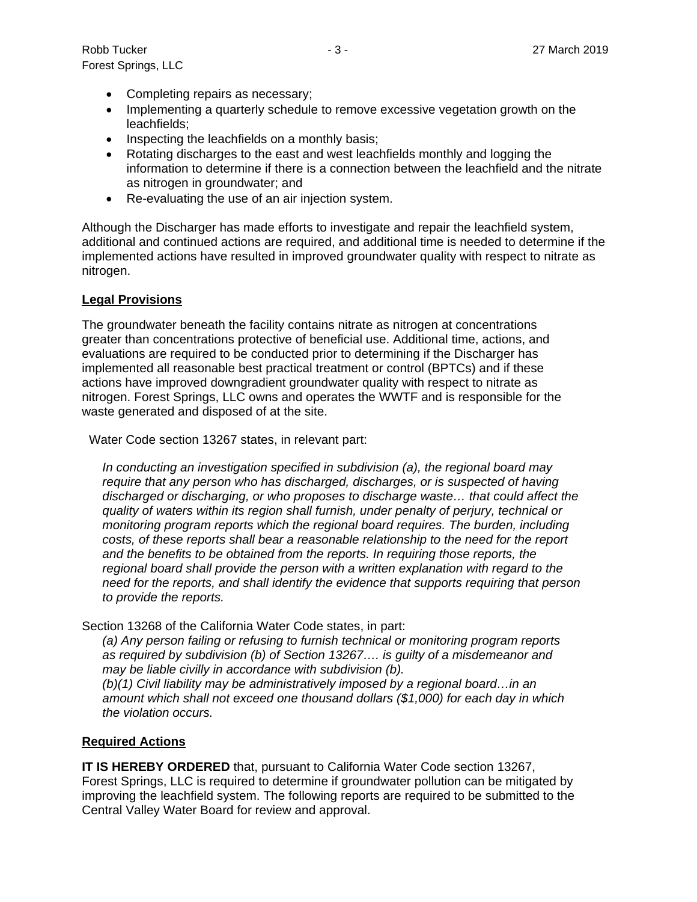Robb Tucker - 3 - 27 March 2019 Forest Springs, LLC

- Completing repairs as necessary;
- Implementing a quarterly schedule to remove excessive vegetation growth on the leachfields;
- Inspecting the leachfields on a monthly basis;
- Rotating discharges to the east and west leachfields monthly and logging the information to determine if there is a connection between the leachfield and the nitrate as nitrogen in groundwater; and
- Re-evaluating the use of an air injection system.

Although the Discharger has made efforts to investigate and repair the leachfield system, additional and continued actions are required, and additional time is needed to determine if the implemented actions have resulted in improved groundwater quality with respect to nitrate as nitrogen.

#### **Legal Provisions**

The groundwater beneath the facility contains nitrate as nitrogen at concentrations greater than concentrations protective of beneficial use. Additional time, actions, and evaluations are required to be conducted prior to determining if the Discharger has implemented all reasonable best practical treatment or control (BPTCs) and if these actions have improved downgradient groundwater quality with respect to nitrate as nitrogen. Forest Springs, LLC owns and operates the WWTF and is responsible for the waste generated and disposed of at the site.

Water Code section 13267 states, in relevant part:

*In conducting an investigation specified in subdivision (a), the regional board may require that any person who has discharged, discharges, or is suspected of having discharged or discharging, or who proposes to discharge waste… that could affect the quality of waters within its region shall furnish, under penalty of perjury, technical or monitoring program reports which the regional board requires. The burden, including costs, of these reports shall bear a reasonable relationship to the need for the report and the benefits to be obtained from the reports. In requiring those reports, the regional board shall provide the person with a written explanation with regard to the need for the reports, and shall identify the evidence that supports requiring that person to provide the reports.*

Section 13268 of the California Water Code states, in part:

*(a) Any person failing or refusing to furnish technical or monitoring program reports as required by subdivision (b) of Section 13267…. is guilty of a misdemeanor and may be liable civilly in accordance with subdivision (b).*

*(b)(1) Civil liability may be administratively imposed by a regional board…in an amount which shall not exceed one thousand dollars (\$1,000) for each day in which the violation occurs.*

#### **Required Actions**

**IT IS HEREBY ORDERED** that, pursuant to California Water Code section 13267, Forest Springs, LLC is required to determine if groundwater pollution can be mitigated by improving the leachfield system. The following reports are required to be submitted to the Central Valley Water Board for review and approval.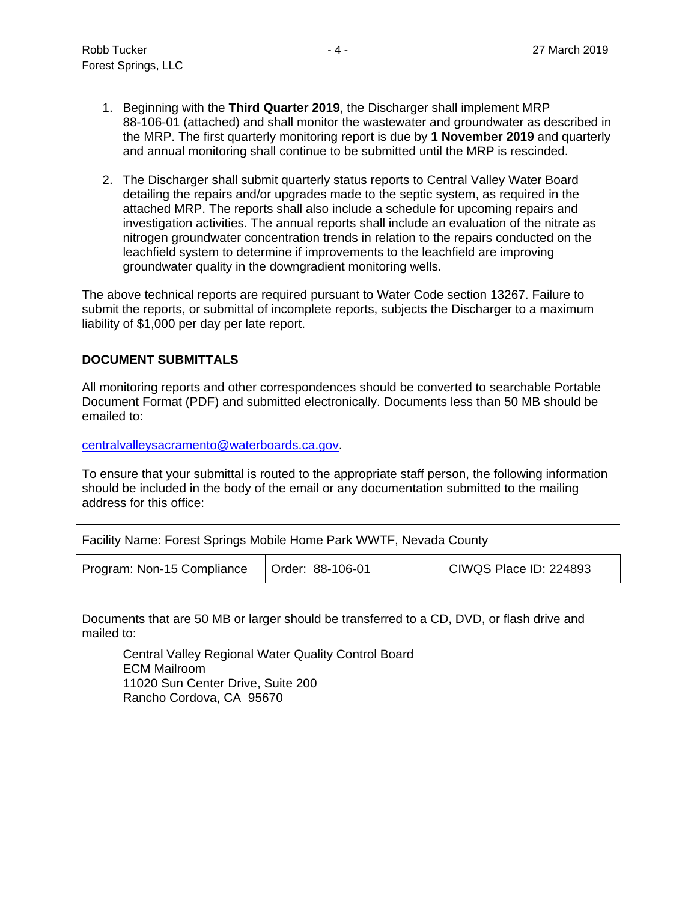- 1. Beginning with the **Third Quarter 2019**, the Discharger shall implement MRP 88-106-01 (attached) and shall monitor the wastewater and groundwater as described in the MRP. The first quarterly monitoring report is due by **1 November 2019** and quarterly and annual monitoring shall continue to be submitted until the MRP is rescinded.
- 2. The Discharger shall submit quarterly status reports to Central Valley Water Board detailing the repairs and/or upgrades made to the septic system, as required in the attached MRP. The reports shall also include a schedule for upcoming repairs and investigation activities. The annual reports shall include an evaluation of the nitrate as nitrogen groundwater concentration trends in relation to the repairs conducted on the leachfield system to determine if improvements to the leachfield are improving groundwater quality in the downgradient monitoring wells.

The above technical reports are required pursuant to Water Code section 13267. Failure to submit the reports, or submittal of incomplete reports, subjects the Discharger to a maximum liability of \$1,000 per day per late report.

# **DOCUMENT SUBMITTALS**

All monitoring reports and other correspondences should be converted to searchable Portable Document Format (PDF) and submitted electronically. Documents less than 50 MB should be emailed to:

[centralvalleysacramento@waterboards.ca.gov.](mailto:centralvalleysacramento@waterboards.ca.gov)

To ensure that your submittal is routed to the appropriate staff person, the following information should be included in the body of the email or any documentation submitted to the mailing address for this office:

| Facility Name: Forest Springs Mobile Home Park WWTF, Nevada County       |  |  |  |  |
|--------------------------------------------------------------------------|--|--|--|--|
| Program: Non-15 Compliance<br>CIWQS Place ID: 224893<br>Order: 88-106-01 |  |  |  |  |

Documents that are 50 MB or larger should be transferred to a CD, DVD, or flash drive and mailed to:

Central Valley Regional Water Quality Control Board ECM Mailroom 11020 Sun Center Drive, Suite 200 Rancho Cordova, CA 95670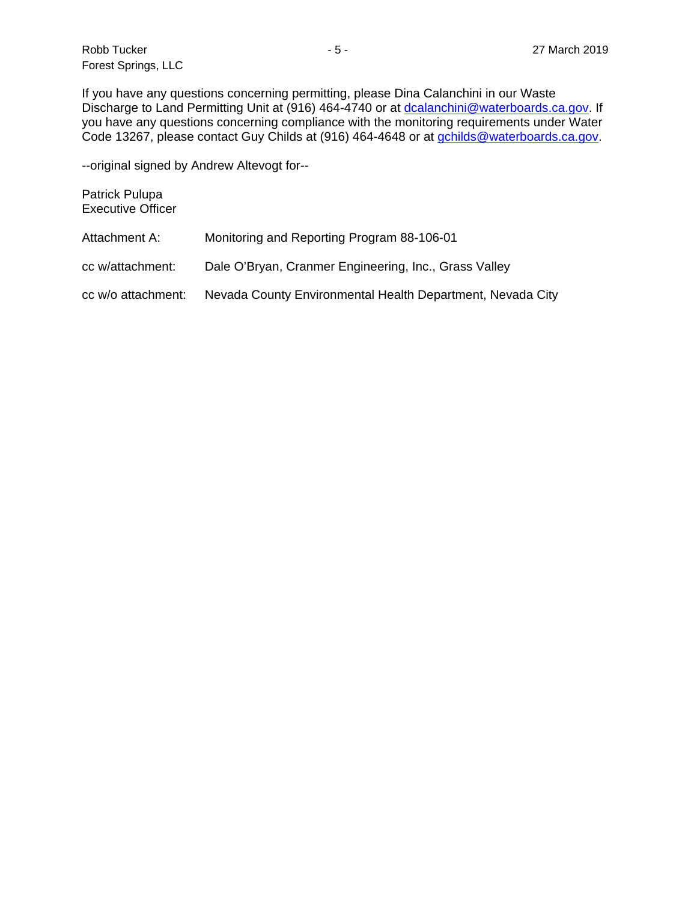Robb Tucker - 5 - 27 March 2019 Forest Springs, LLC

If you have any questions concerning permitting, please Dina Calanchini in our Waste Discharge to Land Permitting Unit at (916) 464-4740 or at [dcalanchini@waterboards.ca.gov.](mailto:dcalanchini@waterboards.ca.gov) If you have any questions concerning compliance with the monitoring requirements under Water Code 13267, please contact Guy Childs at (916) 464-4648 or at [gchilds@waterboards.ca.gov.](mailto:gchilds@waterboards.ca.gov)

--original signed by Andrew Altevogt for--

| Patrick Pulupa<br><b>Executive Officer</b> |                                                            |
|--------------------------------------------|------------------------------------------------------------|
| Attachment A:                              | Monitoring and Reporting Program 88-106-01                 |
| cc w/attachment:                           | Dale O'Bryan, Cranmer Engineering, Inc., Grass Valley      |
| cc w/o attachment:                         | Nevada County Environmental Health Department, Nevada City |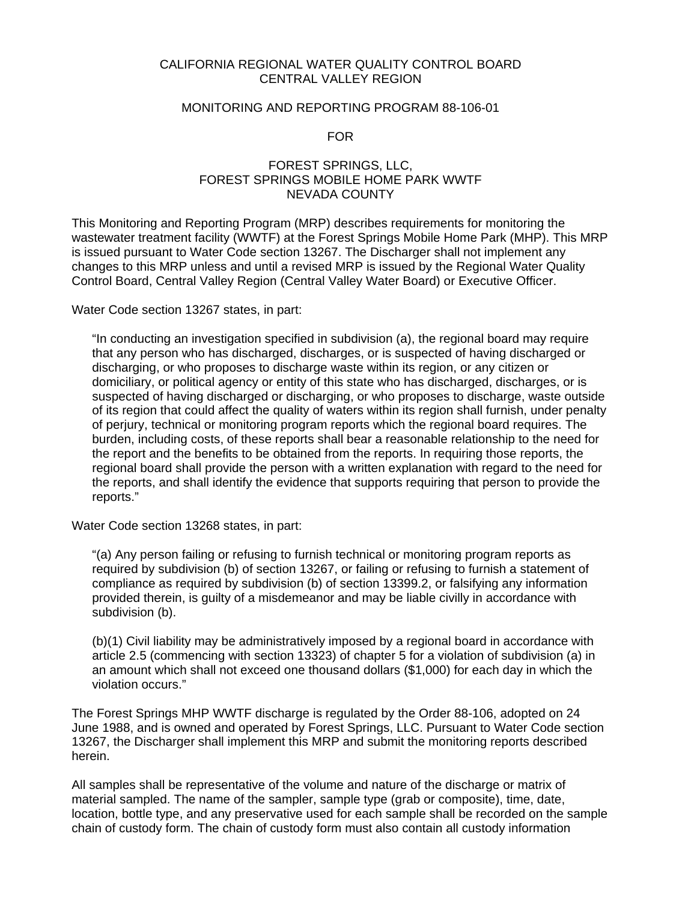#### CALIFORNIA REGIONAL WATER QUALITY CONTROL BOARD CENTRAL VALLEY REGION

#### MONITORING AND REPORTING PROGRAM 88-106-01

FOR

#### FOREST SPRINGS, LLC, FOREST SPRINGS MOBILE HOME PARK WWTF NEVADA COUNTY

This Monitoring and Reporting Program (MRP) describes requirements for monitoring the wastewater treatment facility (WWTF) at the Forest Springs Mobile Home Park (MHP). This MRP is issued pursuant to Water Code section 13267. The Discharger shall not implement any changes to this MRP unless and until a revised MRP is issued by the Regional Water Quality Control Board, Central Valley Region (Central Valley Water Board) or Executive Officer.

Water Code section 13267 states, in part:

"In conducting an investigation specified in subdivision (a), the regional board may require that any person who has discharged, discharges, or is suspected of having discharged or discharging, or who proposes to discharge waste within its region, or any citizen or domiciliary, or political agency or entity of this state who has discharged, discharges, or is suspected of having discharged or discharging, or who proposes to discharge, waste outside of its region that could affect the quality of waters within its region shall furnish, under penalty of perjury, technical or monitoring program reports which the regional board requires. The burden, including costs, of these reports shall bear a reasonable relationship to the need for the report and the benefits to be obtained from the reports. In requiring those reports, the regional board shall provide the person with a written explanation with regard to the need for the reports, and shall identify the evidence that supports requiring that person to provide the reports."

Water Code section 13268 states, in part:

"(a) Any person failing or refusing to furnish technical or monitoring program reports as required by subdivision (b) of section 13267, or failing or refusing to furnish a statement of compliance as required by subdivision (b) of section 13399.2, or falsifying any information provided therein, is guilty of a misdemeanor and may be liable civilly in accordance with subdivision (b).

(b)(1) Civil liability may be administratively imposed by a regional board in accordance with article 2.5 (commencing with section 13323) of chapter 5 for a violation of subdivision (a) in an amount which shall not exceed one thousand dollars (\$1,000) for each day in which the violation occurs."

The Forest Springs MHP WWTF discharge is regulated by the Order 88-106, adopted on 24 June 1988, and is owned and operated by Forest Springs, LLC. Pursuant to Water Code section 13267, the Discharger shall implement this MRP and submit the monitoring reports described herein.

All samples shall be representative of the volume and nature of the discharge or matrix of material sampled. The name of the sampler, sample type (grab or composite), time, date, location, bottle type, and any preservative used for each sample shall be recorded on the sample chain of custody form. The chain of custody form must also contain all custody information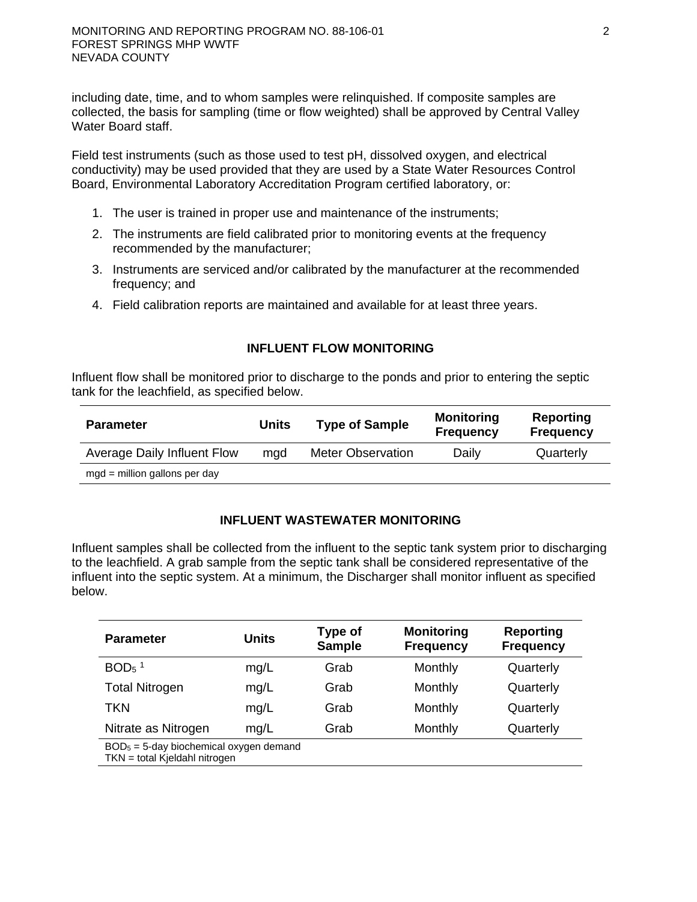including date, time, and to whom samples were relinquished. If composite samples are collected, the basis for sampling (time or flow weighted) shall be approved by Central Valley Water Board staff.

Field test instruments (such as those used to test pH, dissolved oxygen, and electrical conductivity) may be used provided that they are used by a State Water Resources Control Board, Environmental Laboratory Accreditation Program certified laboratory, or:

- 1. The user is trained in proper use and maintenance of the instruments;
- 2. The instruments are field calibrated prior to monitoring events at the frequency recommended by the manufacturer;
- 3. Instruments are serviced and/or calibrated by the manufacturer at the recommended frequency; and
- 4. Field calibration reports are maintained and available for at least three years.

## **INFLUENT FLOW MONITORING**

Influent flow shall be monitored prior to discharge to the ponds and prior to entering the septic tank for the leachfield, as specified below.

| <b>Parameter</b>                | Units | <b>Type of Sample</b>    | <b>Monitoring</b><br><b>Frequency</b> | Reporting<br><b>Frequency</b> |
|---------------------------------|-------|--------------------------|---------------------------------------|-------------------------------|
| Average Daily Influent Flow     | mad   | <b>Meter Observation</b> | Daily                                 | Quarterly                     |
| $mgd =$ million gallons per day |       |                          |                                       |                               |

## **INFLUENT WASTEWATER MONITORING**

Influent samples shall be collected from the influent to the septic tank system prior to discharging to the leachfield. A grab sample from the septic tank shall be considered representative of the influent into the septic system. At a minimum, the Discharger shall monitor influent as specified below.

| <b>Parameter</b>                                                           | <b>Units</b> | Type of<br><b>Sample</b> | <b>Monitoring</b><br><b>Frequency</b> | <b>Reporting</b><br><b>Frequency</b> |  |
|----------------------------------------------------------------------------|--------------|--------------------------|---------------------------------------|--------------------------------------|--|
| $BOD5$ <sup>1</sup>                                                        | mg/L         | Grab                     | Monthly                               | Quarterly                            |  |
| <b>Total Nitrogen</b>                                                      | mg/L         | Grab                     | Monthly                               | Quarterly                            |  |
| TKN                                                                        | mg/L         | Grab                     | Monthly                               | Quarterly                            |  |
| Nitrate as Nitrogen                                                        | mq/L         | Grab                     | Monthly                               | Quarterly                            |  |
| $BOD5 = 5$ -day biochemical oxygen demand<br>TKN = total Kieldahl nitrogen |              |                          |                                       |                                      |  |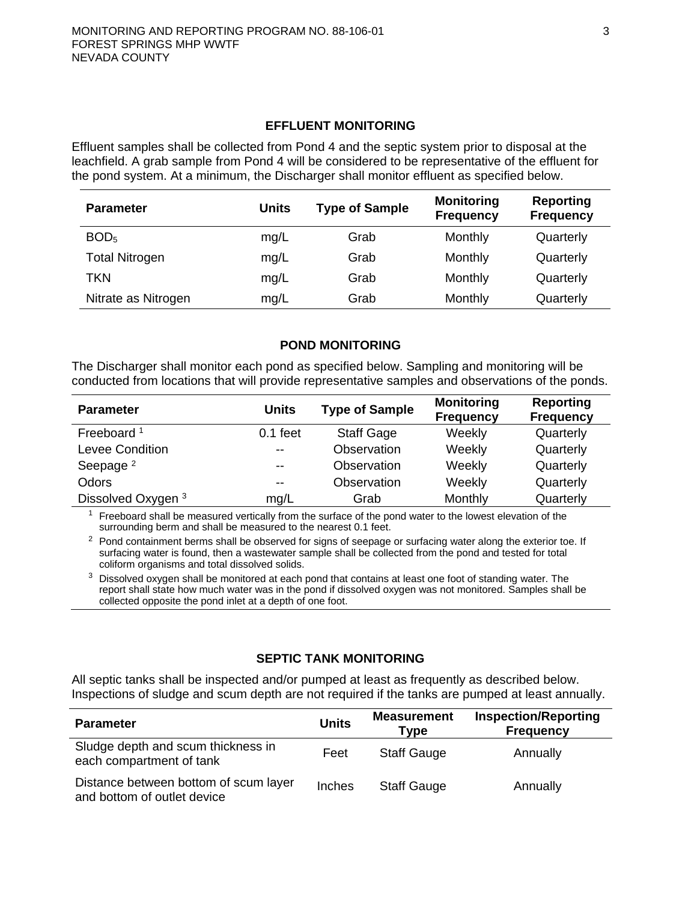## **EFFLUENT MONITORING**

Effluent samples shall be collected from Pond 4 and the septic system prior to disposal at the leachfield. A grab sample from Pond 4 will be considered to be representative of the effluent for the pond system. At a minimum, the Discharger shall monitor effluent as specified below.

| <b>Parameter</b>      | <b>Units</b> | <b>Type of Sample</b> | <b>Monitoring</b><br><b>Frequency</b> | Reporting<br><b>Frequency</b> |
|-----------------------|--------------|-----------------------|---------------------------------------|-------------------------------|
| BOD <sub>5</sub>      | mg/L         | Grab                  | Monthly                               | Quarterly                     |
| <b>Total Nitrogen</b> | mg/L         | Grab                  | Monthly                               | Quarterly                     |
| TKN                   | mg/L         | Grab                  | Monthly                               | Quarterly                     |
| Nitrate as Nitrogen   | mg/L         | Grab                  | Monthly                               | Quarterly                     |

#### **POND MONITORING**

The Discharger shall monitor each pond as specified below. Sampling and monitoring will be conducted from locations that will provide representative samples and observations of the ponds.

| <b>Parameter</b>       | <b>Units</b> | <b>Type of Sample</b> | <b>Monitoring</b><br><b>Frequency</b> | <b>Reporting</b><br><b>Frequency</b> |
|------------------------|--------------|-----------------------|---------------------------------------|--------------------------------------|
| Freeboard <sup>1</sup> | $0.1$ feet   | <b>Staff Gage</b>     | Weekly                                | Quarterly                            |
| Levee Condition        | $- -$        | Observation           | Weekly                                | Quarterly                            |
| Seepage <sup>2</sup>   | $- -$        | Observation           | Weekly                                | Quarterly                            |
| Odors                  | $- -$        | Observation           | Weekly                                | Quarterly                            |
| Dissolved Oxygen 3     | mg/L         | Grab                  | Monthly                               | Quarterly                            |

 $<sup>1</sup>$  Freeboard shall be measured vertically from the surface of the pond water to the lowest elevation of the</sup> surrounding berm and shall be measured to the nearest 0.1 feet.

<sup>2</sup> Pond containment berms shall be observed for signs of seepage or surfacing water along the exterior toe. If surfacing water is found, then a wastewater sample shall be collected from the pond and tested for total coliform organisms and total dissolved solids.

 $3$  Dissolved oxygen shall be monitored at each pond that contains at least one foot of standing water. The report shall state how much water was in the pond if dissolved oxygen was not monitored. Samples shall be collected opposite the pond inlet at a depth of one foot.

## **SEPTIC TANK MONITORING**

All septic tanks shall be inspected and/or pumped at least as frequently as described below. Inspections of sludge and scum depth are not required if the tanks are pumped at least annually.

| <b>Parameter</b>                                                     | <b>Units</b> | <b>Measurement</b><br>Type | <b>Inspection/Reporting</b><br><b>Frequency</b> |
|----------------------------------------------------------------------|--------------|----------------------------|-------------------------------------------------|
| Sludge depth and scum thickness in<br>each compartment of tank       | Feet         | <b>Staff Gauge</b>         | Annually                                        |
| Distance between bottom of scum layer<br>and bottom of outlet device | Inches       | <b>Staff Gauge</b>         | Annually                                        |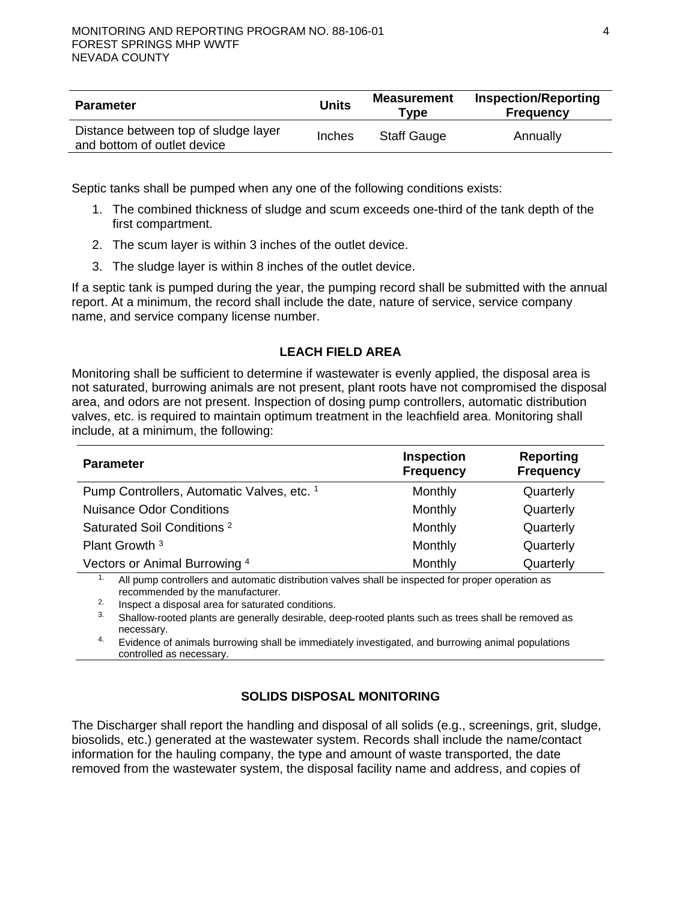| <b>Parameter</b>                                                    | <b>Units</b> | <b>Measurement</b><br>Tvpe | <b>Inspection/Reporting</b><br><b>Frequency</b> |
|---------------------------------------------------------------------|--------------|----------------------------|-------------------------------------------------|
| Distance between top of sludge layer<br>and bottom of outlet device | Inches       | <b>Staff Gauge</b>         | Annually                                        |

Septic tanks shall be pumped when any one of the following conditions exists:

- 1. The combined thickness of sludge and scum exceeds one-third of the tank depth of the first compartment.
- 2. The scum layer is within 3 inches of the outlet device.
- 3. The sludge layer is within 8 inches of the outlet device.

If a septic tank is pumped during the year, the pumping record shall be submitted with the annual report. At a minimum, the record shall include the date, nature of service, service company name, and service company license number.

# **LEACH FIELD AREA**

Monitoring shall be sufficient to determine if wastewater is evenly applied, the disposal area is not saturated, burrowing animals are not present, plant roots have not compromised the disposal area, and odors are not present. Inspection of dosing pump controllers, automatic distribution valves, etc. is required to maintain optimum treatment in the leachfield area. Monitoring shall include, at a minimum, the following:

| <b>Parameter</b>                           | <b>Inspection</b><br><b>Frequency</b> | <b>Reporting</b><br><b>Frequency</b> |
|--------------------------------------------|---------------------------------------|--------------------------------------|
| Pump Controllers, Automatic Valves, etc. 1 | Monthly                               | Quarterly                            |
| <b>Nuisance Odor Conditions</b>            | Monthly                               | Quarterly                            |
| Saturated Soil Conditions <sup>2</sup>     | Monthly                               | Quarterly                            |
| Plant Growth <sup>3</sup>                  | Monthly                               | Quarterly                            |
| Vectors or Animal Burrowing 4              | Monthly                               | Quarterly                            |

 $1.$  All pump controllers and automatic distribution valves shall be inspected for proper operation as recommended by the manufacturer.

2. Inspect a disposal area for saturated conditions.

<sup>3.</sup> Shallow-rooted plants are generally desirable, deep-rooted plants such as trees shall be removed as necessary.

4. Evidence of animals burrowing shall be immediately investigated, and burrowing animal populations controlled as necessary.

# **SOLIDS DISPOSAL MONITORING**

The Discharger shall report the handling and disposal of all solids (e.g., screenings, grit, sludge, biosolids, etc.) generated at the wastewater system. Records shall include the name/contact information for the hauling company, the type and amount of waste transported, the date removed from the wastewater system, the disposal facility name and address, and copies of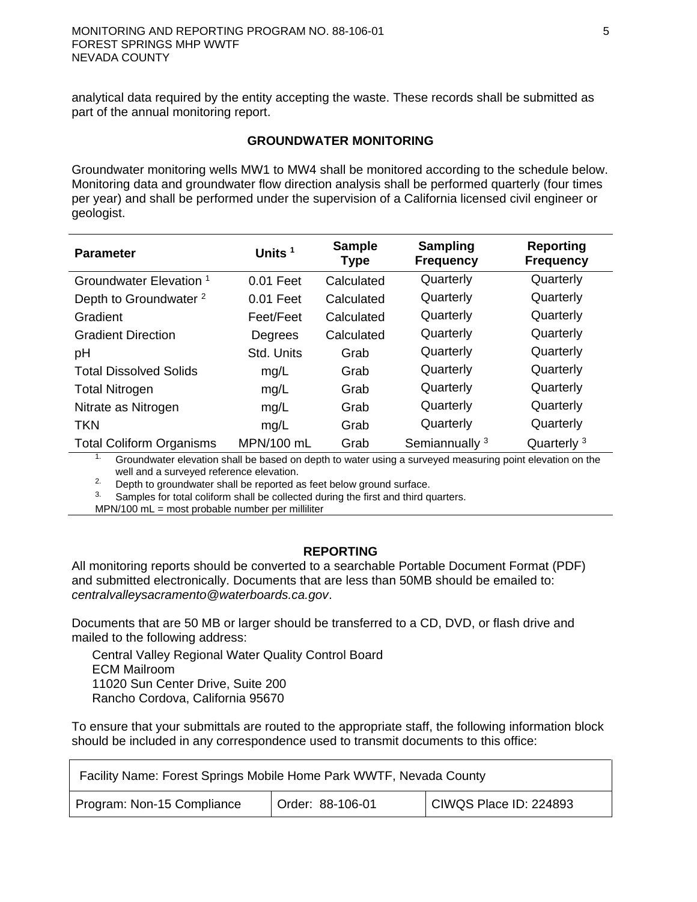analytical data required by the entity accepting the waste. These records shall be submitted as part of the annual monitoring report.

#### **GROUNDWATER MONITORING**

Groundwater monitoring wells MW1 to MW4 shall be monitored according to the schedule below. Monitoring data and groundwater flow direction analysis shall be performed quarterly (four times per year) and shall be performed under the supervision of a California licensed civil engineer or geologist.

| <b>Parameter</b>                   | Units $1$   | <b>Sample</b><br><b>Type</b> | <b>Sampling</b><br><b>Frequency</b> | <b>Reporting</b><br><b>Frequency</b> |
|------------------------------------|-------------|------------------------------|-------------------------------------|--------------------------------------|
| Groundwater Elevation <sup>1</sup> | $0.01$ Feet | Calculated                   | Quarterly                           | Quarterly                            |
| Depth to Groundwater <sup>2</sup>  | $0.01$ Feet | Calculated                   | Quarterly                           | Quarterly                            |
| Gradient                           | Feet/Feet   | Calculated                   | Quarterly                           | Quarterly                            |
| <b>Gradient Direction</b>          | Degrees     | Calculated                   | Quarterly                           | Quarterly                            |
| рH                                 | Std. Units  | Grab                         | Quarterly                           | Quarterly                            |
| <b>Total Dissolved Solids</b>      | mg/L        | Grab                         | Quarterly                           | Quarterly                            |
| <b>Total Nitrogen</b>              | mg/L        | Grab                         | Quarterly                           | Quarterly                            |
| Nitrate as Nitrogen                | mg/L        | Grab                         | Quarterly                           | Quarterly                            |
| <b>TKN</b>                         | mg/L        | Grab                         | Quarterly                           | Quarterly                            |
| <b>Total Coliform Organisms</b>    | MPN/100 mL  | Grab                         | Semiannually <sup>3</sup>           | Quarterly <sup>3</sup>               |

<sup>1.</sup> Groundwater elevation shall be based on depth to water using a surveyed measuring point elevation on the well and a surveyed reference elevation.

 $2.$  Depth to groundwater shall be reported as feet below ground surface.

 $3.$  Samples for total coliform shall be collected during the first and third quarters.

 $MPN/100$  mL = most probable number per milliliter

## **REPORTING**

All monitoring reports should be converted to a searchable Portable Document Format (PDF) and submitted electronically. Documents that are less than 50MB should be emailed to: *[centralvalleysacramento@waterboards.ca.gov](mailto:centralvalleysacramento@waterboards.ca.gov)*.

Documents that are 50 MB or larger should be transferred to a CD, DVD, or flash drive and mailed to the following address:

Central Valley Regional Water Quality Control Board ECM Mailroom 11020 Sun Center Drive, Suite 200 Rancho Cordova, California 95670

To ensure that your submittals are routed to the appropriate staff, the following information block should be included in any correspondence used to transmit documents to this office:

| Facility Name: Forest Springs Mobile Home Park WWTF, Nevada County |                  |                        |
|--------------------------------------------------------------------|------------------|------------------------|
| Program: Non-15 Compliance                                         | Order: 88-106-01 | CIWQS Place ID: 224893 |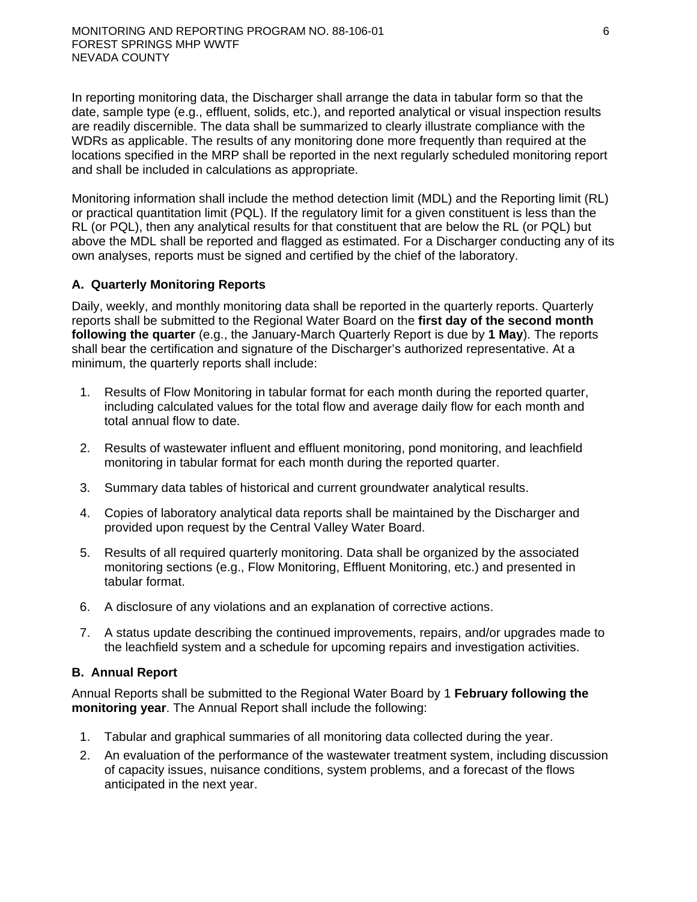In reporting monitoring data, the Discharger shall arrange the data in tabular form so that the date, sample type (e.g., effluent, solids, etc.), and reported analytical or visual inspection results are readily discernible. The data shall be summarized to clearly illustrate compliance with the WDRs as applicable. The results of any monitoring done more frequently than required at the locations specified in the MRP shall be reported in the next regularly scheduled monitoring report and shall be included in calculations as appropriate.

Monitoring information shall include the method detection limit (MDL) and the Reporting limit (RL) or practical quantitation limit (PQL). If the regulatory limit for a given constituent is less than the RL (or PQL), then any analytical results for that constituent that are below the RL (or PQL) but above the MDL shall be reported and flagged as estimated. For a Discharger conducting any of its own analyses, reports must be signed and certified by the chief of the laboratory.

# **A. Quarterly Monitoring Reports**

Daily, weekly, and monthly monitoring data shall be reported in the quarterly reports. Quarterly reports shall be submitted to the Regional Water Board on the **first day of the second month following the quarter** (e.g., the January-March Quarterly Report is due by **1 May**). The reports shall bear the certification and signature of the Discharger's authorized representative. At a minimum, the quarterly reports shall include:

- 1. Results of Flow Monitoring in tabular format for each month during the reported quarter, including calculated values for the total flow and average daily flow for each month and total annual flow to date.
- 2. Results of wastewater influent and effluent monitoring, pond monitoring, and leachfield monitoring in tabular format for each month during the reported quarter.
- 3. Summary data tables of historical and current groundwater analytical results.
- 4. Copies of laboratory analytical data reports shall be maintained by the Discharger and provided upon request by the Central Valley Water Board.
- 5. Results of all required quarterly monitoring. Data shall be organized by the associated monitoring sections (e.g., Flow Monitoring, Effluent Monitoring, etc.) and presented in tabular format.
- 6. A disclosure of any violations and an explanation of corrective actions.
- 7. A status update describing the continued improvements, repairs, and/or upgrades made to the leachfield system and a schedule for upcoming repairs and investigation activities.

## **B. Annual Report**

Annual Reports shall be submitted to the Regional Water Board by 1 **February following the monitoring year**. The Annual Report shall include the following:

- 1. Tabular and graphical summaries of all monitoring data collected during the year.
- 2. An evaluation of the performance of the wastewater treatment system, including discussion of capacity issues, nuisance conditions, system problems, and a forecast of the flows anticipated in the next year.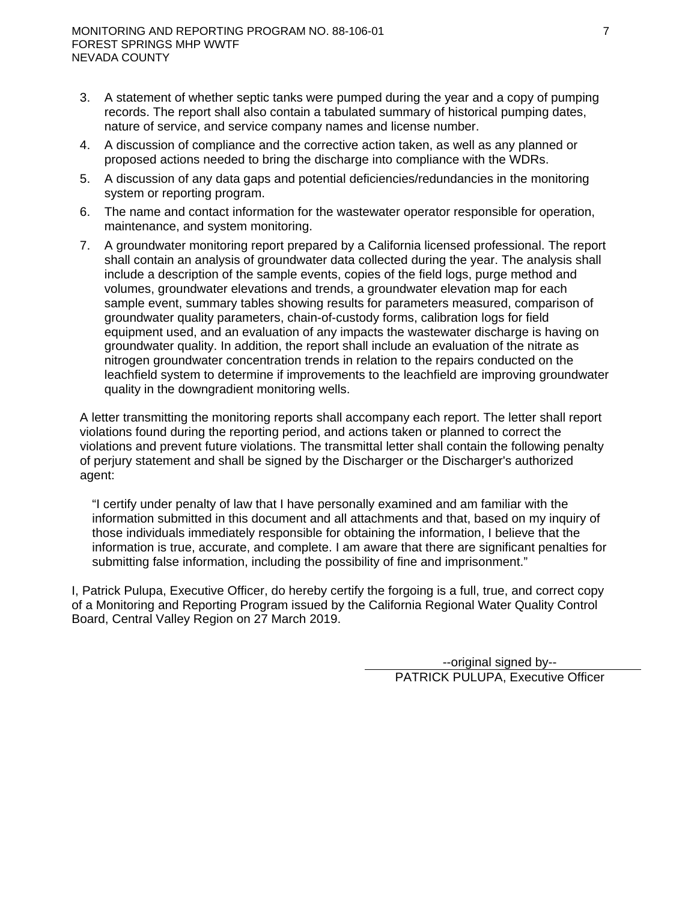- 3. A statement of whether septic tanks were pumped during the year and a copy of pumping records. The report shall also contain a tabulated summary of historical pumping dates, nature of service, and service company names and license number.
- 4. A discussion of compliance and the corrective action taken, as well as any planned or proposed actions needed to bring the discharge into compliance with the WDRs.
- 5. A discussion of any data gaps and potential deficiencies/redundancies in the monitoring system or reporting program.
- 6. The name and contact information for the wastewater operator responsible for operation, maintenance, and system monitoring.
- 7. A groundwater monitoring report prepared by a California licensed professional. The report shall contain an analysis of groundwater data collected during the year. The analysis shall include a description of the sample events, copies of the field logs, purge method and volumes, groundwater elevations and trends, a groundwater elevation map for each sample event, summary tables showing results for parameters measured, comparison of groundwater quality parameters, chain-of-custody forms, calibration logs for field equipment used, and an evaluation of any impacts the wastewater discharge is having on groundwater quality. In addition, the report shall include an evaluation of the nitrate as nitrogen groundwater concentration trends in relation to the repairs conducted on the leachfield system to determine if improvements to the leachfield are improving groundwater quality in the downgradient monitoring wells.

A letter transmitting the monitoring reports shall accompany each report. The letter shall report violations found during the reporting period, and actions taken or planned to correct the violations and prevent future violations. The transmittal letter shall contain the following penalty of perjury statement and shall be signed by the Discharger or the Discharger's authorized agent:

"I certify under penalty of law that I have personally examined and am familiar with the information submitted in this document and all attachments and that, based on my inquiry of those individuals immediately responsible for obtaining the information, I believe that the information is true, accurate, and complete. I am aware that there are significant penalties for submitting false information, including the possibility of fine and imprisonment."

I, Patrick Pulupa, Executive Officer, do hereby certify the forgoing is a full, true, and correct copy of a Monitoring and Reporting Program issued by the California Regional Water Quality Control Board, Central Valley Region on 27 March 2019.

> --original signed by-- PATRICK PULUPA, Executive Officer